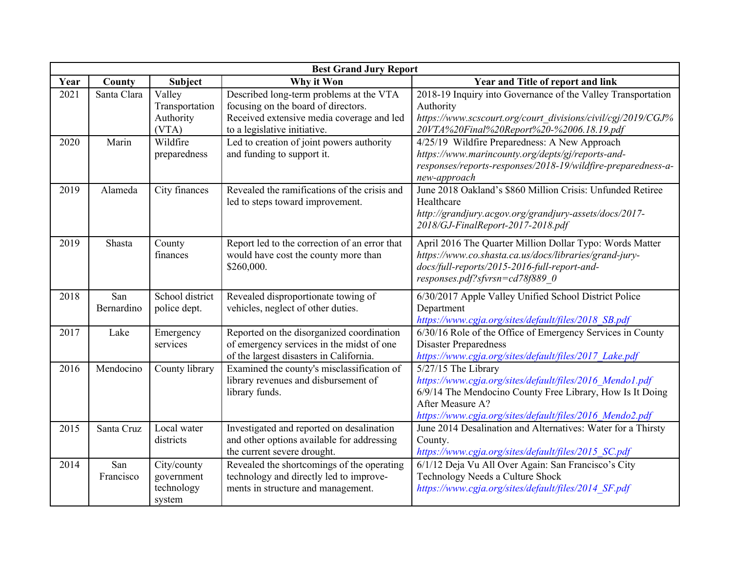|      | <b>Best Grand Jury Report</b> |                                                   |                                                                                                                                                             |                                                                                                                                                                                                                              |
|------|-------------------------------|---------------------------------------------------|-------------------------------------------------------------------------------------------------------------------------------------------------------------|------------------------------------------------------------------------------------------------------------------------------------------------------------------------------------------------------------------------------|
| Year | County                        | Subject                                           | Why it Won                                                                                                                                                  | Year and Title of report and link                                                                                                                                                                                            |
| 2021 | Santa Clara                   | Valley<br>Transportation<br>Authority<br>(VTA)    | Described long-term problems at the VTA<br>focusing on the board of directors.<br>Received extensive media coverage and led<br>to a legislative initiative. | 2018-19 Inquiry into Governance of the Valley Transportation<br>Authority<br>https://www.scscourt.org/court_divisions/civil/cgj/2019/CGJ%<br>20VTA%20Final%20Report%20-%2006.18.19.pdf                                       |
| 2020 | Marin                         | Wildfire<br>preparedness                          | Led to creation of joint powers authority<br>and funding to support it.                                                                                     | 4/25/19 Wildfire Preparedness: A New Approach<br>https://www.marincounty.org/depts/gj/reports-and-<br>responses/reports-responses/2018-19/wildfire-preparedness-a-<br>new-approach                                           |
| 2019 | Alameda                       | City finances                                     | Revealed the ramifications of the crisis and<br>led to steps toward improvement.                                                                            | June 2018 Oakland's \$860 Million Crisis: Unfunded Retiree<br>Healthcare<br>http://grandjury.acgov.org/grandjury-assets/docs/2017-<br>2018/GJ-FinalReport-2017-2018.pdf                                                      |
| 2019 | Shasta                        | County<br>finances                                | Report led to the correction of an error that<br>would have cost the county more than<br>\$260,000.                                                         | April 2016 The Quarter Million Dollar Typo: Words Matter<br>https://www.co.shasta.ca.us/docs/libraries/grand-jury-<br>docs/full-reports/2015-2016-full-report-and-<br>responses.pdf?sfvrsn=cd78f889 0                        |
| 2018 | San<br>Bernardino             | School district<br>police dept.                   | Revealed disproportionate towing of<br>vehicles, neglect of other duties.                                                                                   | 6/30/2017 Apple Valley Unified School District Police<br>Department<br>https://www.cgja.org/sites/default/files/2018_SB.pdf                                                                                                  |
| 2017 | Lake                          | Emergency<br>services                             | Reported on the disorganized coordination<br>of emergency services in the midst of one<br>of the largest disasters in California.                           | 6/30/16 Role of the Office of Emergency Services in County<br><b>Disaster Preparedness</b><br>https://www.cgja.org/sites/default/files/2017_Lake.pdf                                                                         |
| 2016 | Mendocino                     | County library                                    | Examined the county's misclassification of<br>library revenues and disbursement of<br>library funds.                                                        | 5/27/15 The Library<br>https://www.cgja.org/sites/default/files/2016 Mendo1.pdf<br>6/9/14 The Mendocino County Free Library, How Is It Doing<br>After Measure A?<br>https://www.cgja.org/sites/default/files/2016_Mendo2.pdf |
| 2015 | Santa Cruz                    | Local water<br>districts                          | Investigated and reported on desalination<br>and other options available for addressing<br>the current severe drought.                                      | June 2014 Desalination and Alternatives: Water for a Thirsty<br>County.<br>https://www.cgja.org/sites/default/files/2015_SC.pdf                                                                                              |
| 2014 | San<br>Francisco              | City/county<br>government<br>technology<br>system | Revealed the shortcomings of the operating<br>technology and directly led to improve-<br>ments in structure and management.                                 | 6/1/12 Deja Vu All Over Again: San Francisco's City<br>Technology Needs a Culture Shock<br>https://www.cgja.org/sites/default/files/2014 SF.pdf                                                                              |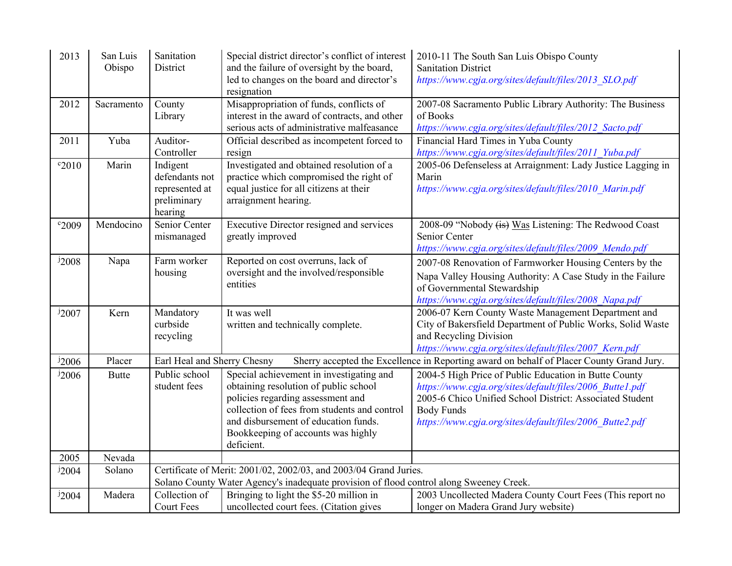| 2013       | San Luis     | Sanitation                                                                              | Special district director's conflict of interest          | 2010-11 The South San Luis Obispo County                                                  |
|------------|--------------|-----------------------------------------------------------------------------------------|-----------------------------------------------------------|-------------------------------------------------------------------------------------------|
|            | Obispo       | District                                                                                | and the failure of oversight by the board,                | <b>Sanitation District</b>                                                                |
|            |              |                                                                                         | led to changes on the board and director's<br>resignation | https://www.cgja.org/sites/default/files/2013 SLO.pdf                                     |
| 2012       | Sacramento   | County                                                                                  | Misappropriation of funds, conflicts of                   | 2007-08 Sacramento Public Library Authority: The Business                                 |
|            |              | Library                                                                                 | interest in the award of contracts, and other             | of Books                                                                                  |
|            |              |                                                                                         | serious acts of administrative malfeasance                | https://www.cgja.org/sites/default/files/2012_Sacto.pdf                                   |
| 2011       | Yuba         | Auditor-                                                                                | Official described as incompetent forced to               | Financial Hard Times in Yuba County                                                       |
|            |              | Controller                                                                              | resign                                                    | https://www.cgja.org/sites/default/files/2011 Yuba.pdf                                    |
| $c_{2010}$ | Marin        | Indigent                                                                                | Investigated and obtained resolution of a                 | 2005-06 Defenseless at Arraignment: Lady Justice Lagging in                               |
|            |              | defendants not                                                                          | practice which compromised the right of                   | Marin                                                                                     |
|            |              | represented at                                                                          | equal justice for all citizens at their                   | https://www.cgja.org/sites/default/files/2010 Marin.pdf                                   |
|            |              | preliminary                                                                             | arraignment hearing.                                      |                                                                                           |
|            | Mendocino    | hearing<br>Senior Center                                                                | <b>Executive Director resigned and services</b>           | 2008-09 "Nobody (is) Was Listening: The Redwood Coast                                     |
| $c_{2009}$ |              | mismanaged                                                                              | greatly improved                                          | Senior Center                                                                             |
|            |              |                                                                                         |                                                           | https://www.cgja.org/sites/default/files/2009_Mendo.pdf                                   |
| $^{j}2008$ | Napa         | Farm worker                                                                             | Reported on cost overruns, lack of                        | 2007-08 Renovation of Farmworker Housing Centers by the                                   |
|            |              | housing                                                                                 | oversight and the involved/responsible                    |                                                                                           |
|            |              |                                                                                         | entities                                                  | Napa Valley Housing Authority: A Case Study in the Failure<br>of Governmental Stewardship |
|            |              |                                                                                         |                                                           | https://www.cgja.org/sites/default/files/2008_Napa.pdf                                    |
| $^{j}2007$ | Kern         | Mandatory                                                                               | It was well                                               | 2006-07 Kern County Waste Management Department and                                       |
|            |              | curbside                                                                                | written and technically complete.                         | City of Bakersfield Department of Public Works, Solid Waste                               |
|            |              | recycling                                                                               |                                                           | and Recycling Division                                                                    |
|            |              |                                                                                         |                                                           | https://www.cgja.org/sites/default/files/2007 Kern.pdf                                    |
| $^{j}2006$ | Placer       | Earl Heal and Sherry Chesny                                                             |                                                           | Sherry accepted the Excellence in Reporting award on behalf of Placer County Grand Jury.  |
| $^{j}2006$ | <b>Butte</b> | Public school                                                                           | Special achievement in investigating and                  | 2004-5 High Price of Public Education in Butte County                                     |
|            |              | student fees                                                                            | obtaining resolution of public school                     | https://www.cgja.org/sites/default/files/2006_Butte1.pdf                                  |
|            |              |                                                                                         | policies regarding assessment and                         | 2005-6 Chico Unified School District: Associated Student                                  |
|            |              |                                                                                         | collection of fees from students and control              | <b>Body Funds</b>                                                                         |
|            |              |                                                                                         | and disbursement of education funds.                      | https://www.cgja.org/sites/default/files/2006 Butte2.pdf                                  |
|            |              |                                                                                         | Bookkeeping of accounts was highly                        |                                                                                           |
|            |              |                                                                                         | deficient.                                                |                                                                                           |
| 2005       | Nevada       |                                                                                         |                                                           |                                                                                           |
| $^{j}2004$ |              | Certificate of Merit: 2001/02, 2002/03, and 2003/04 Grand Juries.<br>Solano             |                                                           |                                                                                           |
|            |              | Solano County Water Agency's inadequate provision of flood control along Sweeney Creek. |                                                           |                                                                                           |
| $^{j}2004$ | Madera       | Collection of                                                                           | Bringing to light the \$5-20 million in                   | 2003 Uncollected Madera County Court Fees (This report no                                 |
|            |              | <b>Court Fees</b>                                                                       | uncollected court fees. (Citation gives                   | longer on Madera Grand Jury website)                                                      |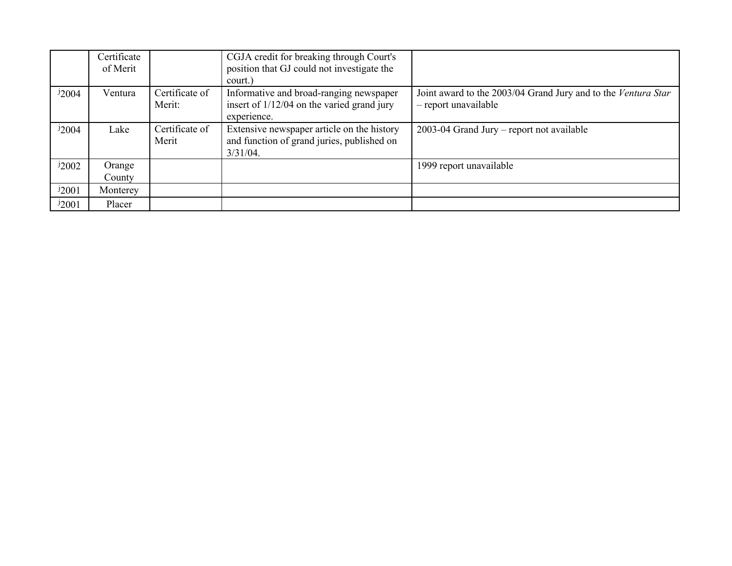|            | Certificate<br>of Merit |                          | CGJA credit for breaking through Court's<br>position that GJ could not investigate the<br>court.)       |                                                                                       |
|------------|-------------------------|--------------------------|---------------------------------------------------------------------------------------------------------|---------------------------------------------------------------------------------------|
| $^{j}2004$ | Ventura                 | Certificate of<br>Merit: | Informative and broad-ranging newspaper<br>insert of $1/12/04$ on the varied grand jury<br>experience.  | Joint award to the 2003/04 Grand Jury and to the Ventura Star<br>- report unavailable |
| $^{j}2004$ | Lake                    | Certificate of<br>Merit  | Extensive newspaper article on the history<br>and function of grand juries, published on<br>$3/31/04$ . | 2003-04 Grand Jury – report not available                                             |
| $^{j}2002$ | Orange<br>County        |                          |                                                                                                         | 1999 report unavailable                                                               |
| $^{j}2001$ | Monterey                |                          |                                                                                                         |                                                                                       |
| $^{j}2001$ | Placer                  |                          |                                                                                                         |                                                                                       |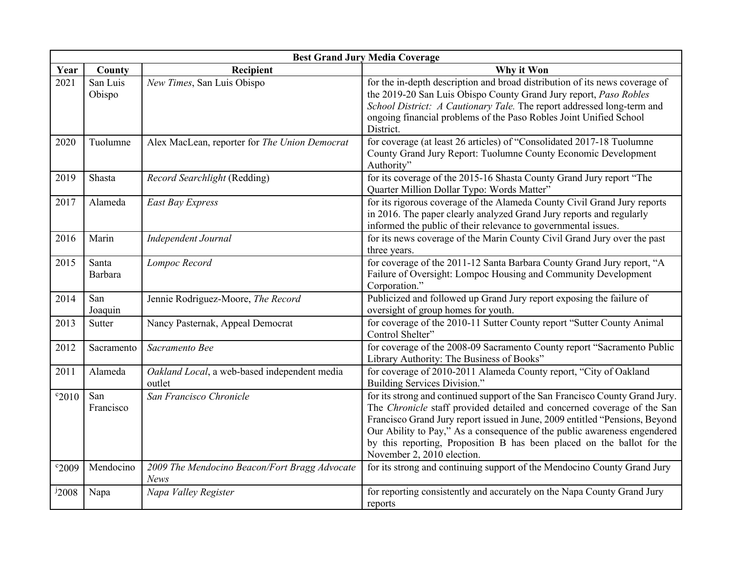|            | <b>Best Grand Jury Media Coverage</b> |                                                              |                                                                                                                                                                                                                                                                                                                                                                                                                            |  |
|------------|---------------------------------------|--------------------------------------------------------------|----------------------------------------------------------------------------------------------------------------------------------------------------------------------------------------------------------------------------------------------------------------------------------------------------------------------------------------------------------------------------------------------------------------------------|--|
| Year       | County                                | Recipient                                                    | Why it Won                                                                                                                                                                                                                                                                                                                                                                                                                 |  |
| 2021       | San Luis<br>Obispo                    | New Times, San Luis Obispo                                   | for the in-depth description and broad distribution of its news coverage of<br>the 2019-20 San Luis Obispo County Grand Jury report, Paso Robles<br>School District: A Cautionary Tale. The report addressed long-term and<br>ongoing financial problems of the Paso Robles Joint Unified School<br>District.                                                                                                              |  |
| 2020       | Tuolumne                              | Alex MacLean, reporter for The Union Democrat                | for coverage (at least 26 articles) of "Consolidated 2017-18 Tuolumne<br>County Grand Jury Report: Tuolumne County Economic Development<br>Authority"                                                                                                                                                                                                                                                                      |  |
| 2019       | Shasta                                | Record Searchlight (Redding)                                 | for its coverage of the 2015-16 Shasta County Grand Jury report "The<br>Quarter Million Dollar Typo: Words Matter"                                                                                                                                                                                                                                                                                                         |  |
| 2017       | Alameda                               | East Bay Express                                             | for its rigorous coverage of the Alameda County Civil Grand Jury reports<br>in 2016. The paper clearly analyzed Grand Jury reports and regularly<br>informed the public of their relevance to governmental issues.                                                                                                                                                                                                         |  |
| 2016       | Marin                                 | Independent Journal                                          | for its news coverage of the Marin County Civil Grand Jury over the past<br>three years.                                                                                                                                                                                                                                                                                                                                   |  |
| 2015       | Santa<br>Barbara                      | Lompoc Record                                                | for coverage of the 2011-12 Santa Barbara County Grand Jury report, "A<br>Failure of Oversight: Lompoc Housing and Community Development<br>Corporation."                                                                                                                                                                                                                                                                  |  |
| 2014       | San<br>Joaquin                        | Jennie Rodriguez-Moore, The Record                           | Publicized and followed up Grand Jury report exposing the failure of<br>oversight of group homes for youth.                                                                                                                                                                                                                                                                                                                |  |
| 2013       | Sutter                                | Nancy Pasternak, Appeal Democrat                             | for coverage of the 2010-11 Sutter County report "Sutter County Animal<br>Control Shelter"                                                                                                                                                                                                                                                                                                                                 |  |
| 2012       | Sacramento                            | Sacramento Bee                                               | for coverage of the 2008-09 Sacramento County report "Sacramento Public<br>Library Authority: The Business of Books"                                                                                                                                                                                                                                                                                                       |  |
| 2011       | Alameda                               | Oakland Local, a web-based independent media<br>outlet       | for coverage of 2010-2011 Alameda County report, "City of Oakland<br>Building Services Division."                                                                                                                                                                                                                                                                                                                          |  |
| $c_{2010}$ | San<br>Francisco                      | San Francisco Chronicle                                      | for its strong and continued support of the San Francisco County Grand Jury.<br>The Chronicle staff provided detailed and concerned coverage of the San<br>Francisco Grand Jury report issued in June, 2009 entitled "Pensions, Beyond<br>Our Ability to Pay," As a consequence of the public awareness engendered<br>by this reporting, Proposition B has been placed on the ballot for the<br>November 2, 2010 election. |  |
| $c_{2009}$ | Mendocino                             | 2009 The Mendocino Beacon/Fort Bragg Advocate<br><b>News</b> | for its strong and continuing support of the Mendocino County Grand Jury                                                                                                                                                                                                                                                                                                                                                   |  |
| $^{j}2008$ | Napa                                  | Napa Valley Register                                         | for reporting consistently and accurately on the Napa County Grand Jury<br>reports                                                                                                                                                                                                                                                                                                                                         |  |